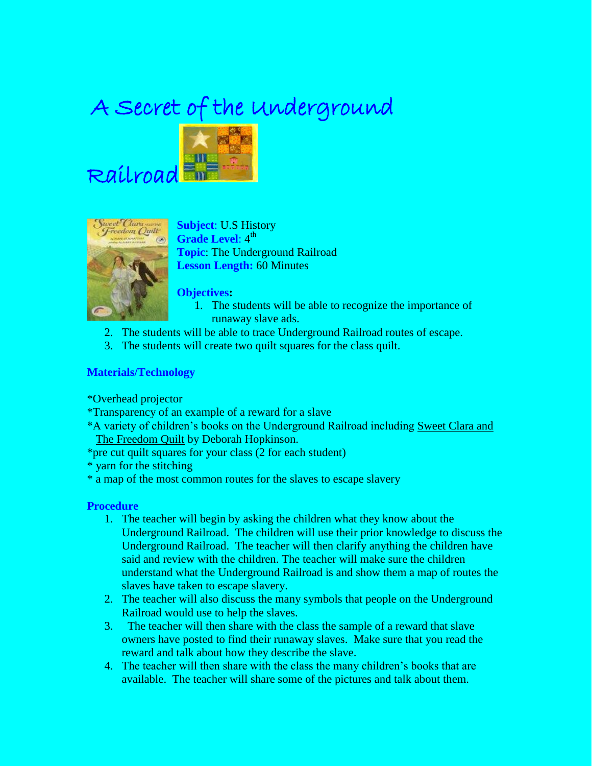# A Secret of the Underground





Railroad

**Subject**: U.S History Grade Level: 4<sup>th</sup> **Topic**: The Underground Railroad **Lesson Length:** 60 Minutes

**Objectives:**

- 1. The students will be able to recognize the importance of runaway slave ads.
- 2. The students will be able to trace Underground Railroad routes of escape.
- 3. The students will create two quilt squares for the class quilt.

## **Materials/Technology**

\*Overhead projector

- \*Transparency of an example of a reward for a slave
- \*A variety of children's books on the Underground Railroad including Sweet Clara and The Freedom Quilt by Deborah Hopkinson.
- \*pre cut quilt squares for your class (2 for each student)
- \* yarn for the stitching
- \* a map of the most common routes for the slaves to escape slavery

## **Procedure**

- 1. The teacher will begin by asking the children what they know about the Underground Railroad. The children will use their prior knowledge to discuss the Underground Railroad. The teacher will then clarify anything the children have said and review with the children. The teacher will make sure the children understand what the Underground Railroad is and show them a map of routes the slaves have taken to escape slavery.
- 2. The teacher will also discuss the many symbols that people on the Underground Railroad would use to help the slaves.
- 3. The teacher will then share with the class the sample of a reward that slave owners have posted to find their runaway slaves. Make sure that you read the reward and talk about how they describe the slave.
- 4. The teacher will then share with the class the many children's books that are available. The teacher will share some of the pictures and talk about them.